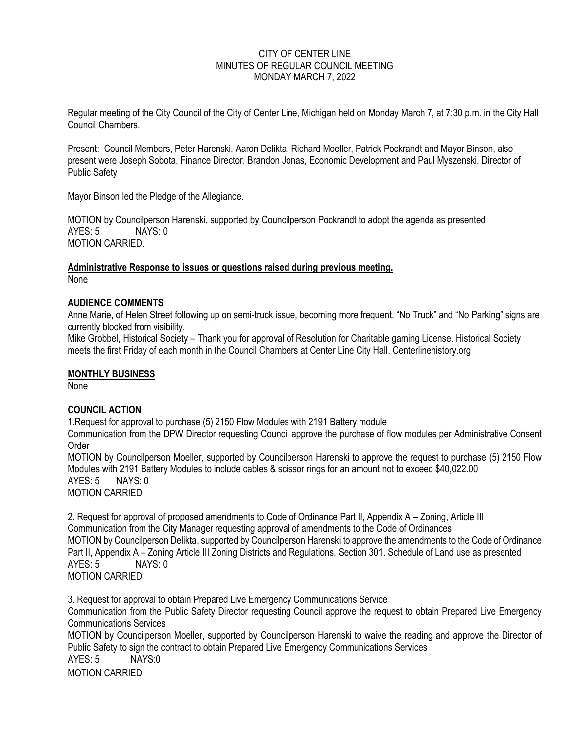### CITY OF CENTER LINE MINUTES OF REGULAR COUNCIL MEETING MONDAY MARCH 7, 2022

Regular meeting of the City Council of the City of Center Line, Michigan held on Monday March 7, at 7:30 p.m. in the City Hall Council Chambers.

Present: Council Members, Peter Harenski, Aaron Delikta, Richard Moeller, Patrick Pockrandt and Mayor Binson, also present were Joseph Sobota, Finance Director, Brandon Jonas, Economic Development and Paul Myszenski, Director of Public Safety

Mayor Binson led the Pledge of the Allegiance.

MOTION by Councilperson Harenski, supported by Councilperson Pockrandt to adopt the agenda as presented  $AYFS: 5$  NAYS:  $0$ MOTION CARRIED.

**Administrative Response to issues or questions raised during previous meeting.** None

## **AUDIENCE COMMENTS**

Anne Marie, of Helen Street following up on semi-truck issue, becoming more frequent. "No Truck" and "No Parking" signs are currently blocked from visibility.

Mike Grobbel, Historical Society – Thank you for approval of Resolution for Charitable gaming License. Historical Society meets the first Friday of each month in the Council Chambers at Center Line City Hall. Centerlinehistory.org

#### **MONTHLY BUSINESS**

None

#### **COUNCIL ACTION**

1.Request for approval to purchase (5) 2150 Flow Modules with 2191 Battery module

Communication from the DPW Director requesting Council approve the purchase of flow modules per Administrative Consent **Order** 

MOTION by Councilperson Moeller, supported by Councilperson Harenski to approve the request to purchase (5) 2150 Flow Modules with 2191 Battery Modules to include cables & scissor rings for an amount not to exceed \$40,022.00 AYES: 5 NAYS: 0

MOTION CARRIED

2. Request for approval of proposed amendments to Code of Ordinance Part II, Appendix A – Zoning, Article III Communication from the City Manager requesting approval of amendments to the Code of Ordinances MOTION by Councilperson Delikta, supported by Councilperson Harenski to approve the amendments to the Code of Ordinance Part II, Appendix A – Zoning Article III Zoning Districts and Regulations, Section 301. Schedule of Land use as presented AYES: 5 NAYS: 0 MOTION CARRIED

3. Request for approval to obtain Prepared Live Emergency Communications Service Communication from the Public Safety Director requesting Council approve the request to obtain Prepared Live Emergency Communications Services MOTION by Councilperson Moeller, supported by Councilperson Harenski to waive the reading and approve the Director of Public Safety to sign the contract to obtain Prepared Live Emergency Communications Services AYES: 5 NAYS:0 MOTION CARRIED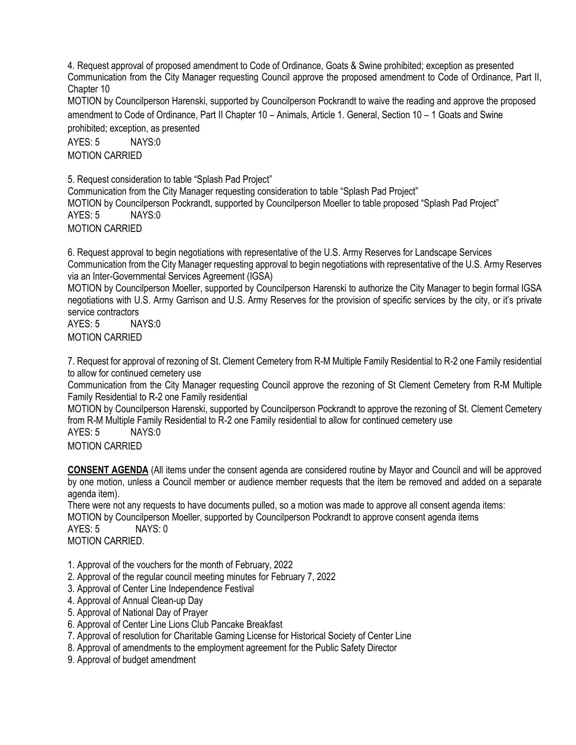4. Request approval of proposed amendment to Code of Ordinance, Goats & Swine prohibited; exception as presented Communication from the City Manager requesting Council approve the proposed amendment to Code of Ordinance, Part II, Chapter 10

MOTION by Councilperson Harenski, supported by Councilperson Pockrandt to waive the reading and approve the proposed amendment to Code of Ordinance, Part II Chapter 10 – Animals, Article 1. General, Section 10 – 1 Goats and Swine prohibited; exception, as presented

AYES: 5 NAYS:0 MOTION CARRIED

5. Request consideration to table "Splash Pad Project" Communication from the City Manager requesting consideration to table "Splash Pad Project" MOTION by Councilperson Pockrandt, supported by Councilperson Moeller to table proposed "Splash Pad Project" AYES: 5 NAYS:0 MOTION CARRIED

6. Request approval to begin negotiations with representative of the U.S. Army Reserves for Landscape Services Communication from the City Manager requesting approval to begin negotiations with representative of the U.S. Army Reserves via an Inter-Governmental Services Agreement (IGSA)

MOTION by Councilperson Moeller, supported by Councilperson Harenski to authorize the City Manager to begin formal IGSA negotiations with U.S. Army Garrison and U.S. Army Reserves for the provision of specific services by the city, or it's private service contractors

AYES: 5 NAYS:0 MOTION CARRIED

7. Request for approval of rezoning of St. Clement Cemetery from R-M Multiple Family Residential to R-2 one Family residential to allow for continued cemetery use

Communication from the City Manager requesting Council approve the rezoning of St Clement Cemetery from R-M Multiple Family Residential to R-2 one Family residential

MOTION by Councilperson Harenski, supported by Councilperson Pockrandt to approve the rezoning of St. Clement Cemetery from R-M Multiple Family Residential to R-2 one Family residential to allow for continued cemetery use AYES: 5 NAYS:0

MOTION CARRIED

**CONSENT AGENDA** (All items under the consent agenda are considered routine by Mayor and Council and will be approved by one motion, unless a Council member or audience member requests that the item be removed and added on a separate agenda item).

There were not any requests to have documents pulled, so a motion was made to approve all consent agenda items: MOTION by Councilperson Moeller, supported by Councilperson Pockrandt to approve consent agenda items AYES: 5 NAYS: 0 MOTION CARRIED.

- 1. Approval of the vouchers for the month of February, 2022
- 2. Approval of the regular council meeting minutes for February 7, 2022
- 3. Approval of Center Line Independence Festival
- 4. Approval of Annual Clean-up Day
- 5. Approval of National Day of Prayer
- 6. Approval of Center Line Lions Club Pancake Breakfast
- 7. Approval of resolution for Charitable Gaming License for Historical Society of Center Line
- 8. Approval of amendments to the employment agreement for the Public Safety Director
- 9. Approval of budget amendment